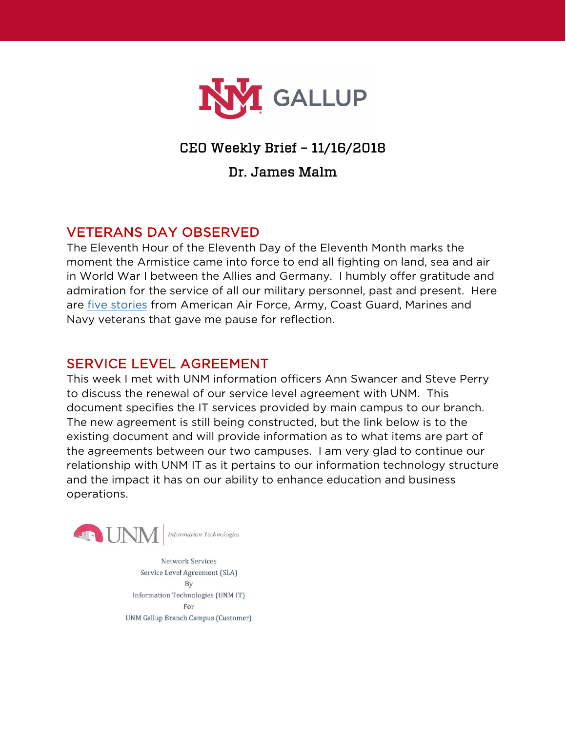

# CEO Weekly Brief – 11/16/2018

## Dr. James Malm

# VETERANS DAY OBSERVED

The Eleventh Hour of the Eleventh Day of the Eleventh Month marks the moment the Armistice came into force to end all fighting on land, sea and air in World War I between the Allies and Germany. I humbly offer gratitude and admiration for the service of all our military personnel, past and present. Here are [five stories](https://www.cnet.com/news/google-doodle-highlights-vets-stories-on-veterans-day/) from American Air Force, Army, Coast Guard, Marines and Navy veterans that gave me pause for reflection.

### SERVICE LEVEL AGREEMENT

This week I met with UNM information officers Ann Swancer and Steve Perry to discuss the renewal of our service level agreement with UNM. This document specifies the IT services provided by main campus to our branch. The new agreement is still being constructed, but the link below is to the existing document and will provide information as to what items are part of the agreements between our two campuses. I am very glad to continue our relationship with UNM IT as it pertains to our information technology structure and the impact it has on our ability to enhance education and business operations.



**Network Services** Service Level Agreement (SLA) By Information Technologies (UNM IT) For UNM Gallup Branch Campus (Customer)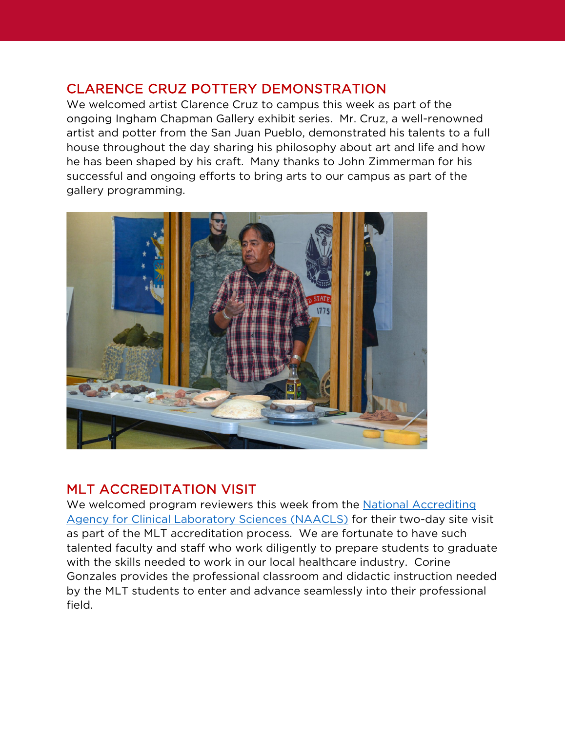# CLARENCE CRUZ POTTERY DEMONSTRATION

We welcomed artist Clarence Cruz to campus this week as part of the ongoing Ingham Chapman Gallery exhibit series. Mr. Cruz, a well-renowned artist and potter from the San Juan Pueblo, demonstrated his talents to a full house throughout the day sharing his philosophy about art and life and how he has been shaped by his craft. Many thanks to John Zimmerman for his successful and ongoing efforts to bring arts to our campus as part of the gallery programming.



# MLT ACCREDITATION VISIT

We welcomed program reviewers this week from the National Accrediting [Agency for Clinical Laboratory Sciences \(NAACLS\)](https://www.naacls.org/about.aspx) for their two-day site visit as part of the MLT accreditation process. We are fortunate to have such talented faculty and staff who work diligently to prepare students to graduate with the skills needed to work in our local healthcare industry. Corine Gonzales provides the professional classroom and didactic instruction needed by the MLT students to enter and advance seamlessly into their professional field.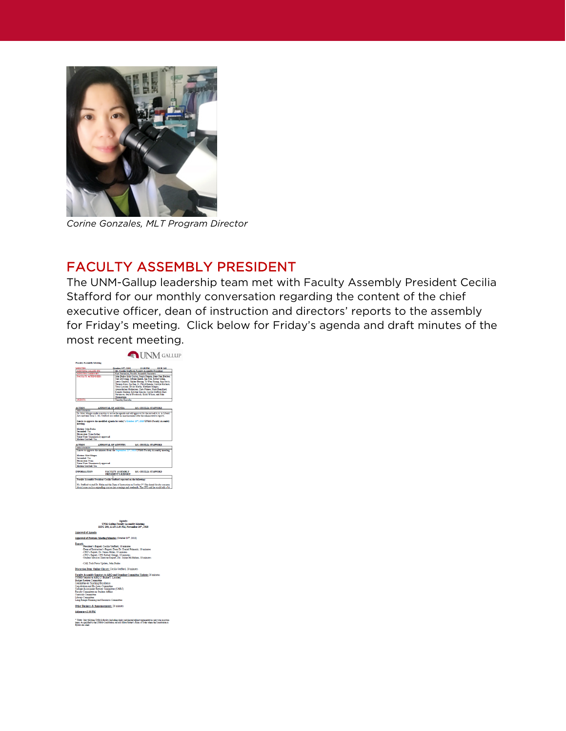

*Corine Gonzales, MLT Program Director*

# FACULTY ASSEMBLY PRESIDENT

The UNM-Gallup leadership team met with Faculty Assembly President Cecilia Stafford for our monthly conversation regarding the content of the chief executive officer, dean of instruction and directors' reports to the assembly for Friday's meeting. Click below for Friday's agenda and draft minutes of the most recent meeting.



.<br>aculty Assembly Senators to ABO and Standing Committee Update<br>RNAG Senator to ABQ (J. Burke/T. Lassiter) States 1980<br>
States 1980<br>
Committee Committee<br>
States Committee<br>
on Texching Excellence<br>
on Texching Excellence<br>
on and By-Law: Committee<br>
committee (CARC)<br>
Committee on Student Affairs<br>
Committee on Student Affairs<br>
Commi brary Committee<br>ong Range Planning and Resource Com Other Business & Announcements; 20 minutes

Adjourn-2:30 PM

\* Note: Only full-time UNN-O faculty (including clasic) and elected adjust representative may vote on action<br>Beam, As specified by the UNNO Constitution, we will follow Robert's Raise of Order where the Constitution At<br>Byl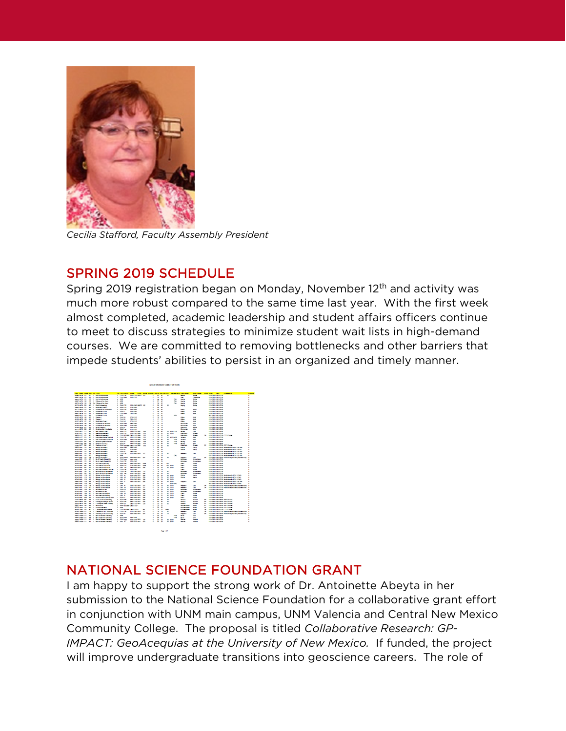

*Cecilia Stafford, Faculty Assembly President*

#### SPRING 2019 SCHEDULE

Spring 2019 registration began on Monday, November 12th and activity was much more robust compared to the same time last year. With the first week almost completed, academic leadership and student affairs officers continue to meet to discuss strategies to minimize student wait lists in high-demand courses. We are committed to removing bottlenecks and other barriers that impede students' abilities to persist in an organized and timely manner.



## NATIONAL SCIENCE FOUNDATION GRANT

I am happy to support the strong work of Dr. Antoinette Abeyta in her submission to the National Science Foundation for a collaborative grant effort in conjunction with UNM main campus, UNM Valencia and Central New Mexico Community College. The proposal is titled *Collaborative Research: GP-IMPACT: GeoAcequias at the University of New Mexico.* If funded, the project will improve undergraduate transitions into geoscience careers. The role of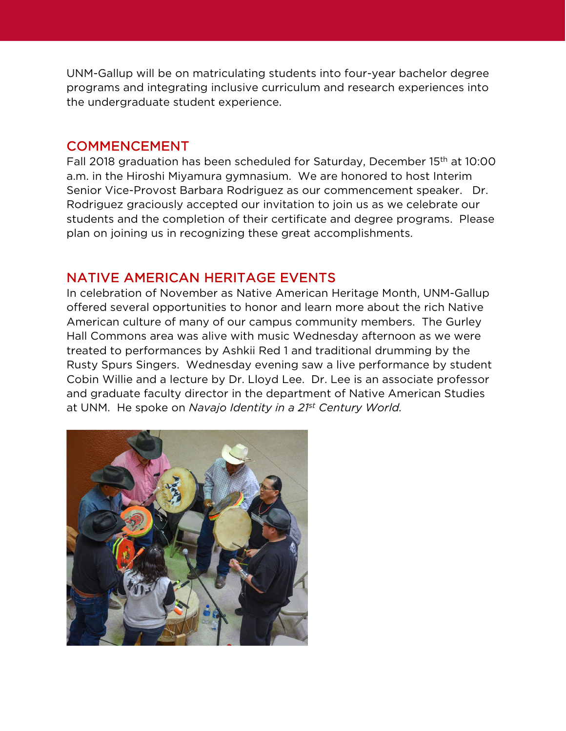UNM-Gallup will be on matriculating students into four-year bachelor degree programs and integrating inclusive curriculum and research experiences into the undergraduate student experience.

#### COMMENCEMENT

Fall 2018 graduation has been scheduled for Saturday, December 15th at 10:00 a.m. in the Hiroshi Miyamura gymnasium. We are honored to host Interim Senior Vice-Provost Barbara Rodriguez as our commencement speaker. Dr. Rodriguez graciously accepted our invitation to join us as we celebrate our students and the completion of their certificate and degree programs. Please plan on joining us in recognizing these great accomplishments.

## NATIVE AMERICAN HERITAGE EVENTS

In celebration of November as Native American Heritage Month, UNM-Gallup offered several opportunities to honor and learn more about the rich Native American culture of many of our campus community members. The Gurley Hall Commons area was alive with music Wednesday afternoon as we were treated to performances by Ashkii Red 1 and traditional drumming by the Rusty Spurs Singers. Wednesday evening saw a live performance by student Cobin Willie and a lecture by Dr. Lloyd Lee. Dr. Lee is an associate professor and graduate faculty director in the department of Native American Studies at UNM. He spoke on *Navajo Identity in a 21st Century World.*